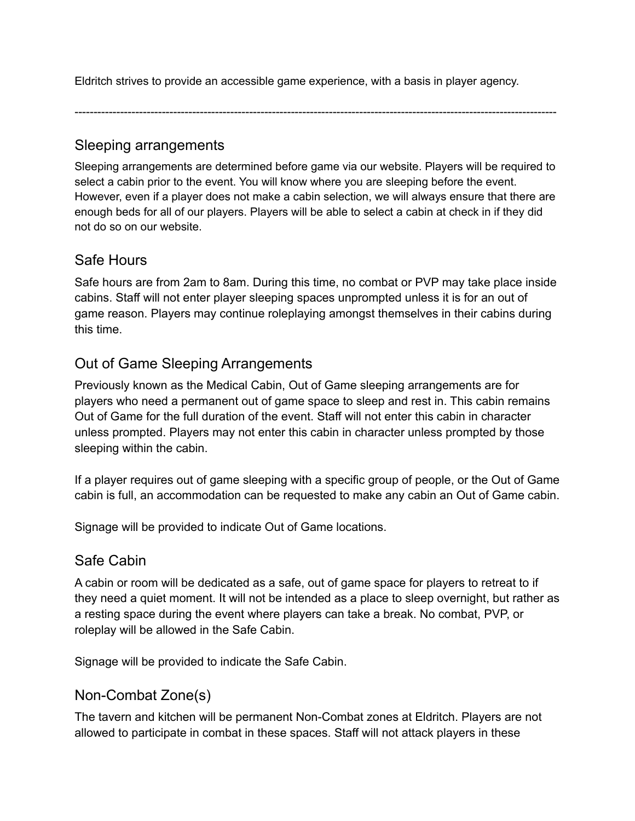Eldritch strives to provide an accessible game experience, with a basis in player agency.

-------------------------------------------------------------------------------------------------------------------------------

#### Sleeping arrangements

Sleeping arrangements are determined before game via our website. Players will be required to select a cabin prior to the event. You will know where you are sleeping before the event. However, even if a player does not make a cabin selection, we will always ensure that there are enough beds for all of our players. Players will be able to select a cabin at check in if they did not do so on our website.

#### Safe Hours

Safe hours are from 2am to 8am. During this time, no combat or PVP may take place inside cabins. Staff will not enter player sleeping spaces unprompted unless it is for an out of game reason. Players may continue roleplaying amongst themselves in their cabins during this time.

# Out of Game Sleeping Arrangements

Previously known as the Medical Cabin, Out of Game sleeping arrangements are for players who need a permanent out of game space to sleep and rest in. This cabin remains Out of Game for the full duration of the event. Staff will not enter this cabin in character unless prompted. Players may not enter this cabin in character unless prompted by those sleeping within the cabin.

If a player requires out of game sleeping with a specific group of people, or the Out of Game cabin is full, an accommodation can be requested to make any cabin an Out of Game cabin.

Signage will be provided to indicate Out of Game locations.

#### Safe Cabin

A cabin or room will be dedicated as a safe, out of game space for players to retreat to if they need a quiet moment. It will not be intended as a place to sleep overnight, but rather as a resting space during the event where players can take a break. No combat, PVP, or roleplay will be allowed in the Safe Cabin.

Signage will be provided to indicate the Safe Cabin.

#### Non-Combat Zone(s)

The tavern and kitchen will be permanent Non-Combat zones at Eldritch. Players are not allowed to participate in combat in these spaces. Staff will not attack players in these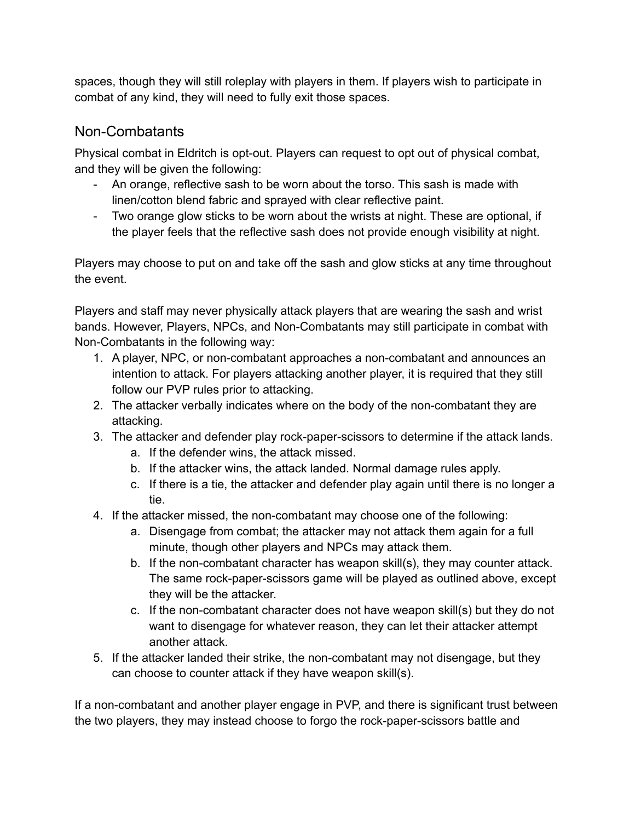spaces, though they will still roleplay with players in them. If players wish to participate in combat of any kind, they will need to fully exit those spaces.

### Non-Combatants

Physical combat in Eldritch is opt-out. Players can request to opt out of physical combat, and they will be given the following:

- An orange, reflective sash to be worn about the torso. This sash is made with linen/cotton blend fabric and sprayed with clear reflective paint.
- Two orange glow sticks to be worn about the wrists at night. These are optional, if the player feels that the reflective sash does not provide enough visibility at night.

Players may choose to put on and take off the sash and glow sticks at any time throughout the event.

Players and staff may never physically attack players that are wearing the sash and wrist bands. However, Players, NPCs, and Non-Combatants may still participate in combat with Non-Combatants in the following way:

- 1. A player, NPC, or non-combatant approaches a non-combatant and announces an intention to attack. For players attacking another player, it is required that they still follow our PVP rules prior to attacking.
- 2. The attacker verbally indicates where on the body of the non-combatant they are attacking.
- 3. The attacker and defender play rock-paper-scissors to determine if the attack lands.
	- a. If the defender wins, the attack missed.
	- b. If the attacker wins, the attack landed. Normal damage rules apply.
	- c. If there is a tie, the attacker and defender play again until there is no longer a tie.
- 4. If the attacker missed, the non-combatant may choose one of the following:
	- a. Disengage from combat; the attacker may not attack them again for a full minute, though other players and NPCs may attack them.
	- b. If the non-combatant character has weapon skill(s), they may counter attack. The same rock-paper-scissors game will be played as outlined above, except they will be the attacker.
	- c. If the non-combatant character does not have weapon skill(s) but they do not want to disengage for whatever reason, they can let their attacker attempt another attack.
- 5. If the attacker landed their strike, the non-combatant may not disengage, but they can choose to counter attack if they have weapon skill(s).

If a non-combatant and another player engage in PVP, and there is significant trust between the two players, they may instead choose to forgo the rock-paper-scissors battle and